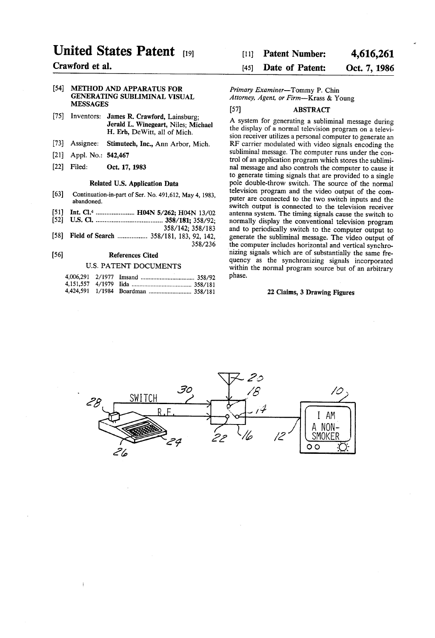# United States Patent (19)

# Crawford et al.

#### 54] METHOD AND APPARATUS FOR GENERATING SUBLIMINAL VISUAL MESSAGES

- [75] Inventors: James R. Crawford, Lainsburg; Jerald L. Winegeart, Niles; Michael H. Erb, DeWitt, all of Mich.
- [73] Assignee: Stimutech, Inc., Ann Arbor, Mich.
- 21 Appl. No.:  $342,407$
- [22] Filed: Oct. 17, 1983

### Related U.S. Application Data

- [63] Continuation-in-part of Ser. No. 491,612, May 4, 1983, abandoned.
- (51) Int. Cl.<sup>4</sup> ...................... H04N 5/262; H04N 13/02
- $[52]$ U.S. Cl. ...................................... 358/181; 358/92;
	- 358/142; 358/183
- 58) Field of Search ................. 358/181, 183,92, 142, 358/236

#### $[56]$ References Cited

#### U.S. PATENT DOCUMENTS

# [11] Patent Number: 4,616,261

# [45] Date of Patent: Oct. 7, 1986

# Primary Examiner-Tommy P. Chin Attorney, Agent, or Firm-Krass & Young

# 57) ABSTRACT

A system for generating a subliminal message during the display of a normal television program on a televi sion receiver utilizes a personal computer to generate an RF carrier modulated with video signals encoding the subliminal message. The computer runs under the con trol of an application program which stores the sublimi nal message and also controls the computer to cause it to generate timing signals that are provided to a single pole double-throw switch. The source of the normal television program and the video output of the com puter are connected to the two switch inputs and the switch output is connected to the television receiver antenna system. The timing signals cause the switch to and to periodically switch to the computer output to generate the subliminal message. The video output of nizing signals which are of substantially the same frequency as the synchronizing signals incorporated within the normal program source but of an arbitrary phase.

# 22 Claims, 3 Drawing Figures

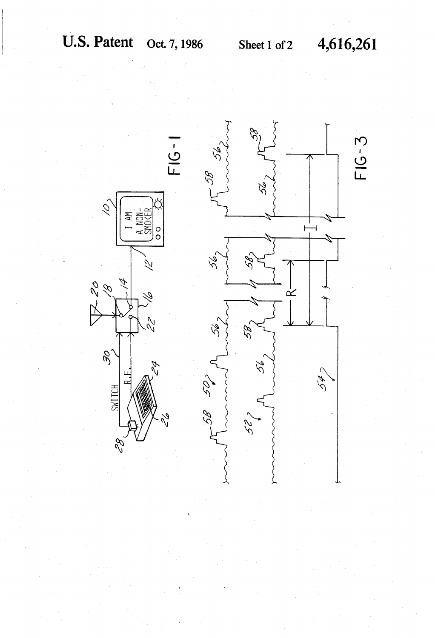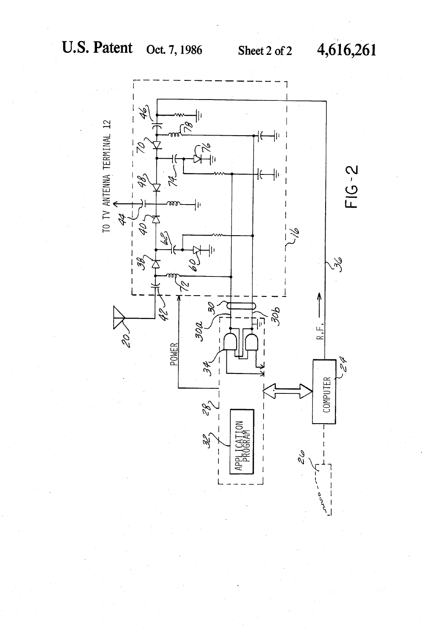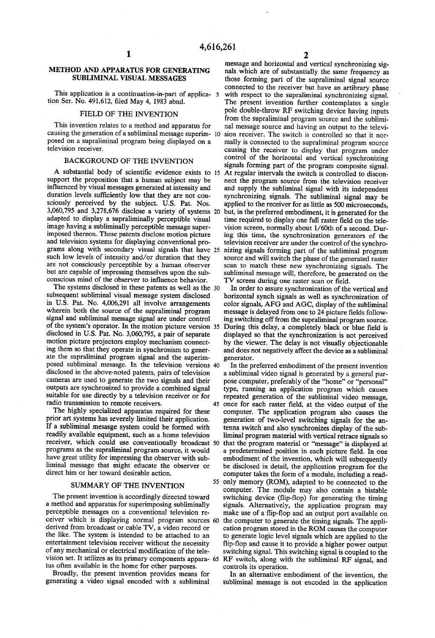# METHOD AND APPARATUS FOR GENERATING SUBLIMINAL VISUAL MESSAGES

This application is a continuation-in-part of applica- 5 tion Ser. No. 491,612, filed May 4, 1983 abnd.

#### FIELD OF THE INVENTION

This invention relates to a method and apparatus for causing the generation of a subliminal message superim- 10 posed on a supraliminal program being displayed on a television receiver.

# BACKGROUND OF THE INVENTION

A substantial body of scientific evidence exists to 15 support the proposition that a human subject may be influenced by visual messages generated at intensity and duration levels sufficiently low that they are not con sciously perceived by the subject. U.S. Pat. Nos. adapted to display a supraliminally perceptible visual image having a subliminally perceptible message superimposed thereon. These patents disclose motion picture and television systems for displaying conventional programs along with secondary visual signals that have 25 such low levels of intensity and/or duration that they are not consciously perceptible by a human observer but are capable of impressing themselves upon the sub conscious mind of the observer to influence behavior. 3,060,795 and 3,278,676 disclose a variety of systems 20

I'm in the systems disclosed in these patents as well as the 30 subsequent subliminal visual message system disclosed<br>in U.S. Pat. No. 4,006,291 all involve arrangements wherein both the source of the supraliminal program signal and subliminal message signal are under control of the system's operator. In the motion picture version 35 disclosed in U.S. Pat. No. 3,060,795, a pair of separate motion picture projectors employ mechanism connect ing them so that they operate in synchronism to gener ate the supraliminal program signal and the superim posed subliminal mesasge. In the television versions disclosed in the above-noted patents, pairs of television cameras are used to generate the two signals and their suitable for use directly by a television receiver or for radio transmission to remote receivers.

The highly specialized apparatus required for these prior art systems has severely limited their application. If a subliminal mesasge system could be formed with readily available equipment, such as a home television receiver, which could use conventionally broadcast 50 programs as the supraliminal program source, it would have great utility for impressing the observer with sub liminal message that might educate the observer or direct him or her toward desirable action.

# SUMMARY OF THE INVENTION

The present invention is accordingly directed toward<br>a method and apparatus for superimposing subliminally perceptible messages on a conventional television receiver which is displaying normal program sources 60 derived from broadcast or cable TV, a video record or the like. The system is intended to be attached to an entertainment television receiver without the necessity of any mechanical or electrical modification of the tele-

tus often available in the home for other purposes. Broadly, the present invention provides means for generating a video signal encoded with a subliminal

message and horizontal and vertical synchronizing signals which are of substantially the same frequency as those forming part of the supraliminal signal source connected to the receiver but have an artibrary phase with respect to the supraliminal synchronizing signal.<br>The present invention further contemplates a single pole double-throw RF switching device having inputs from the supraliminal program source and the subliminal message source and having an output to the televi sion receiver. The switch is controlled so that it nor mally is connected to the supraliminal program source causing the receiver to display that program under control of the horizontal and vertical synchronizing signals forming part of the program composite signal. At regular intervals the switch is controlled to discon nect the program source from the television receiver synchronizing signals. The subliminal signal may be applied to the receiver for as little as 500 microseconds. but, in the preferred embodiment, it is generated for the time required to display one full raster field on the tele vision screen, normally about 1/60th of a second. Dur ing this time, the synchronization generators of the television receiver are under the control of the synchronizing signals forming part of the subliminal program source and will switch the phase of the generated raster scan to match these new synchronizing signals. The subliminal message will, therefore, be generated on the TV screen during one raster scan or field.

In order to assure synchronization of the vertical and horizontal synch signals as well as synchronization of color signals, AFG and AGC, display of the subliminal message is delayed from one to 24 picture fields follow ing switching off from the supraliminal program source. During this delay, a completely black or blue field is by the viewer. The delay is not visually objectionable and does not negatively affect the device as a subliminal generator.

vision set. It utilizes as its primary components appara- 65 RF switch, along with the subliminal RF signal, and<br> 45 once for each raster field, at the video output of the 55 only memory (ROM), adapted to be connected to the In the preferred embodiment of the present invention a subliminal video signal is generated by a general pur pose computer, preferably of the "home' or "personal" type, running an application program which causes repeated generation of the subliminal video message, computer. The application program also causes the generation of two-level switching signals for the an tenna switch and also synchronizes display of the sub liminal program material with vertical retrace signals so that the program material or "message' is displayed at a predetermined position in each picture field. In one be disclosed in detail, the application program for the computer takes the form of a module, including a read computer. The module may also contain a bistable switching device (flip-flop) for generating the timing signals. Alternatively, the application program may make use of a flip-flop and an output port available on the computer to generate the timing signals. The application program stored in the ROM causes the computer to generate logic level signals which are applied to the flip-flop and cause it to provide a higher power output switching signal. This switching signal is coupled to the controls its operation.

> In an alternative embodiment of the invention, the subliminal message is not encoded in the application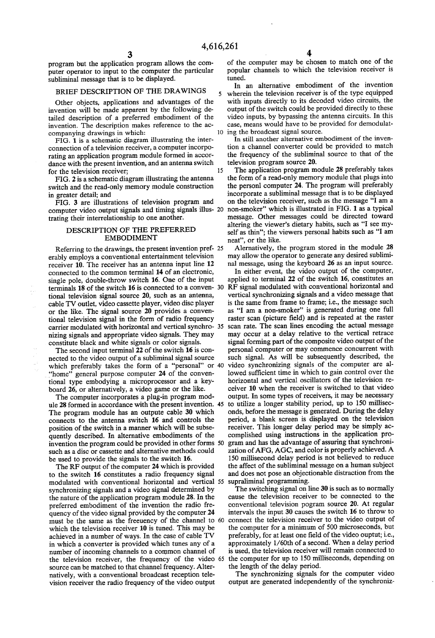5

program but the application program allows the com puter operator to input to the computer the particular subliminal message that is to be displayed.

#### BRIEF DESCRIPTION OF THE DRAWINGS

Other objects, applications and advantages of the invention will be made apparent by the following de tailed description of a preferred embodiment of the invention. The description makes reference to the ac companying drawings in which:

FIG. 1 is a schematic diagram illustrating the inter rating an application program module formed in accordance with the present invention, and an antenna switch for the television receiver: 15 for the television receiver;

FIG. 2 is a schematic diagram illustrating the antenna switch and the read-only memory module construction in greater detail; and<br>FIG. 3 are illustrations of television program and

FIG. 3 are illustrations of television program and trating their interrelationship to one another.

# DESCRIPTION OF THE PREFERRED EMBODIMENT

Referring to the drawings, the present invention pref- 25 erably employs a conventional entertainment television receiver 10. The receiver has an antenna input line 12 connected to the common terminal 14 of an electronic, single pole, double-throw switch 16. One of the input tional television signal source 20, such as an antenna, cable TV outlet, video cassette player, video disc player or the like. The signal source 20 provides a conven constitute black and white signals or color signals. The second input terminal 22 of the switch 16 is con

nected to the video output of a subliminal signal source which preferably takes the form of a "personal" or 40 "home" general purpose computer 24 of the conven-' general purpose computer 24 of the conventional type embodying a microprocessor and a key board 26, or alternatively, a video game or the like.

The computer incorporates a plug-in program mod ule 28 formed in accordance with the present invention. 45 The program module has an outpute cable 30 which connects to the antenna switch 16 and controls the position of the switch in a manner which will be subse quently described. In alternative embodiments of the invention the program could be provided in other forms 50 such as a disc or cassette and alternative methods could be used to provide the signals to the switch 16.

The RF output of the computer 24 which is provided to the switch 16 constitutes a radio frequency signal modulated with conventional horizontal and vertical 55 supraliminal programming.<br>synchronizing signals and a video signal determined by The switching signal on l the nature of the application program module 28. In the preferred embodiment of the invention the radio fre quency of the video signal provided by the computer 24 must be the same as the freeuency of the channel to 60 which the television receiver 10 is tuned. This may be achieved in a number of ways. In the case of cable TV in which a converter is provided which tunes any of a number of incoming channels to a common channel of the television receiver, the frequency of the video 65 source can be matched to that channel frequency. Alter natively, with a conventional broadcast reception tele vision receiver the radio frequency of the video output

of the computer may be chosen to match one of the popular channels to which the television receiver is tuned.

In an alternative embodiment of the invention wherein the television receiver is of the type equipped with inputs directly to its decoded video circuits, the output of the switch could be provided directly to these video inputs, by bypassing the antenna circuits. In this case, means would have to be provided for demodulat ing the broadcast signal source.

In still another alternative embodiment of the inven tion a channel converter could be provided to match the frequency of the subliminal source to that of the television program source 20.

computer video output signals and timing signals illus- 20 non-smoker" which is illustrated in FIG. 1 as a typical The application program module 28 preferably takes the form of a read-only memory module that plugs into<br>the personl computer 24. The program will preferably incorporate a subliminal message that is to be displayed on the television receiver, such as the message "I am a message. Other messages could be directed toward altering the viewer's dietary habits, such as "I see my self as thin'; the viewers personal habits such as "I am neat', or the like.

Alernatively, the program stored in the module 28 may allow the operator to generate any desired sublimi nal message, using the keyboard 26 as an input source.

single pole, double-throw switch 16. One of the input applied to terminal 22 of the switch 16, consulties and terminals 18 of the switch 16 is connected to a conven- 30  $RF$  signal modulated with conventional horizontal an tional television signal in the form of radio frequency<br>carrier modulated with horizontal and vertical synchro-35 scan rate. The scan lines encoding the actual message<br>nizing signals and appropriate video signals. They may applied to terminal 22 of the switch 16, constitutes an vertical synchronizing signals and a video message that is the same from frame to frame; i.e., the message such as "I am a non-smoker' is generated during one full raster scan (picture field) and is repeated at the raster may occur at a delay relative to the vertical retrace signal forming part of the composite video output of the personal computer or may commence concurrent with such signal. As will be subsequently described, the video synchronizing signals of the computer are al lowed sufficient time in which to gain control over the horizontal and vertical oscillators of the television re ceiver 10 when the receiver is switched to that video output. In some types of receivers, it may be necessary to utilize a longer stability period, up to 150 millisec period, a blank screen is displayed on the television receiver. This longer delay period may be simply ac complished using instructions in the application pro gram and has the advantage of assuring that synchroni zation of AFG, AGC, and color is properly achieved. A 150 millisecond delay period is not believed to reduce and does not pose an objectionable distraction from the

> The switching signal on line 30 is such as to normally cause the television receiver to be connected to the conventional television pogram source 20. At regular intervals the input 30 causes the switch 16 to throw to connect the television receiver to the video output of the computer for a minimum of 500 microseconds, but<br>preferably, for at least one field of the video ouptut; i.e., approximately 1/60th of a second. When a delay period is used, the television receiver will remain connected to the computer for up to 150 milliseconds, depending on

> The synchronizing signals for the computer video. output are generated independently of the synchroniz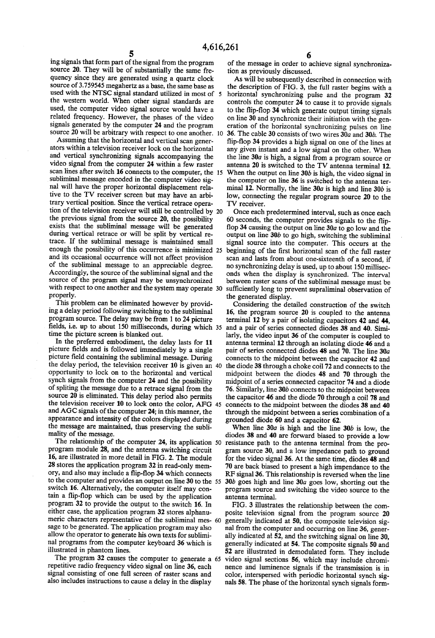ing signals that form part of the signal from the program source 20. They will be of substantially the same fre quency since they are generated using a quartz clock source of 3.759545 megahertz as a base, the same base as used with the NTSC signal standard utilized in most of 5 the western world. When other signal standards are used, the computer video signal source would have a related frequency. However, the phases of the video signals generated by the computer 24 and the program source 20 will be arbitrary with respect to one another. 10

Assuming that the horizontal and vertical scan gener ators within a television receiver lock on the horizontal and vertical synchronizing signals accompanying the video signal from the computer 24 within a few raster scan lines after switch **10** connects to the computer, the 15 subliminal message encoded in the computer video signal will have the proper horizontal displacement relative to the TV receiver screen but may have an arbitrary vertical position. Since the vertical retrace operathe previous signal from the source 20, the possibility<br>exists that the subliminal message will be generated<br>during vertical retrace or will be split by vertical retrace. If the subliminal message is maintained small enough the possibility of this occurrence is minimized 25 and its occasional occurrence will not affect provision of the subliminal message to an appreciable degree. Accordingly, the source of the subliminal signal and the source of the program signal may be unsynchronized source of the program signal may be unsynchronized with respect to one another and the system may operate properly. tion of the television receiver will still be controlled by 20

This problem can be eliminated however by providing a delay period following switching to the subliminal program source. The delay may be from 1 to 24 picture fields, i.e. up to about 150 milliseconds, during which 35 time the picture screen is blanked out.

In the preferred embodiment, the delay lasts for 11 picture fields and is followed immediately by a single picture field containing the subliminal message. During<br>picture field containing the subliminal message. During<br>the delay period, the television receiver 10 is given an 40 opportunity to lock on to the horizontal and vertical of spliting the message due to a retrace signal from the source 20 is eliminated. This delay period also permits source 20 is eliminated. This delay period also permits the television receiver 10 to lock onto the color, AFG 45 and AGC signals of the computer 24; in this manner, the appearance and intensity of the colors displayed during the message are maintained, thus preserving the sublimality of the message.

I'm relationship of the computer 24, its application 50 program module 28, and the antenna switching circuit 16, are illustrated in more detail in FIG. 2. The module 28 stores the application program 32 in read-only mem ory, and also may include a flip-flop 34 which connects to the computer and provides an output on line 30 to the 55 switch 16. Alternatively, the computer itself may con tain a flip-flop which can be used by the application program 32 to provide the output to the switch 16. In either case, the application program 32 stores alphanueither case, the application program 32 stores alphanumeric characters representative of the subliminal mes- 60 sage to be generated. The application program may also allow the operator to generate his own texts for sublimi nal programs from the computer keyboard 36 which is illustrated in phantom lines.

The program 32 causes the computer to generate a 65 repetitive radio frequency video signal on line 36, each signal consisting of one full screen of raster scans and also includes instructions to cause a delay in the display

 $\overline{6}$  of the message in order to achieve signal synchronization as previously discussed.

As will be subsequently described in connection with the description of FIG. 3, the full raster begins with a horizontal synchronizing pulse and the program 32 controls the computer 24 to cause it to provide signals to the flip-flop 34 which generate output timing signals on line 30 and synchronize their initiation with the generation of the horizontal synchronizing pulses on line 36. The cable 30 consists of two wires 30a and 30b. The flip-flop 34 provides a high signal on one of the lines at any given instant and a low signal on the other. When the line 30a is high, a signal from a program source or antenna 20 is switched to the TV antenna terminal 12. When the output on line  $30b$  is high, the video signal in the computer on line 36 is switched to the antenna ter minal 12. Normally, the line  $30a$  is high and line  $30b$  is low, connecting the regular program source 20 to the TV receiver.

30 Once each predetermined interval, such as once each<br>60 seconds, the computer provides signals to the flipflop 34 causing the output on line  $30a$  to go low and the output on line  $30b$  to go high, switching the subliminal signal source into the computer. This occurs at the beginning of the first horizontal scan of the full raster scan and lasts from about one-sixteenth of a second, if no synchronizing delay is used, up to about 150 millisec onds when the display is synchronized. The interval sufficiently long to prevent supraliminal observation of the generated display.

Considering the detailed construction of the switch 16, the program source 20 is coupled to the antenna terminal 12 by a pair of isolating capacitors 42 and 44, and a pair of series connected diodes 38 and 40. Simi larly, the video input 36 of the computer is coupled to antenna terminal 12 through an isolating diode 46 and a pair of series connected diodes 48 and 70. The line 30a connects to the midpoint between the capacitor 42 and the diode 38through a choke coil 72 and connects to the midpoint between the diodes 48 and 70 through the midpoint of a series connected capacitor 74 and a diode 76. Similarly, line 30b connects to the midpoint between the capacitor 46 and the diode 70 through a coil 78 and connects to the midpoint between the diodes 38 and 40 through the midpoint between a series combination of a grounded diode 60 and a capacitor 62.

When line  $30a$  is high and the line  $30b$  is low, the diodes 38 and 40 are forward biased to provide a low resistance path to the antenna terminal from the pro gram source 30, and a low impedance path to ground for the video signal 36. At the same time, diodes 48 and 70 are back biased to present a high impendance to the RF signal 36. This relationship is reversed when the line 30b goes high and line 30a goes low, shorting out the program source and switching the video source to the antenna terminal.

FIG. 3 illustrates the relationship between the com posite television signal from the program source 20 generally indicated at 50, the composite television signal from the computer and occurring on line 36, generally indicated at 52, and the switching signal on line 30, generally indicated at 54. The composite signals 50 and 52 are illustrated in demodulated form. They include video signal sections 56, which may include chromi nence and luminence signals if the transmission is in color, interspersed with periodic horizontal synch signals 58. The phase of the horizontal synch signals form-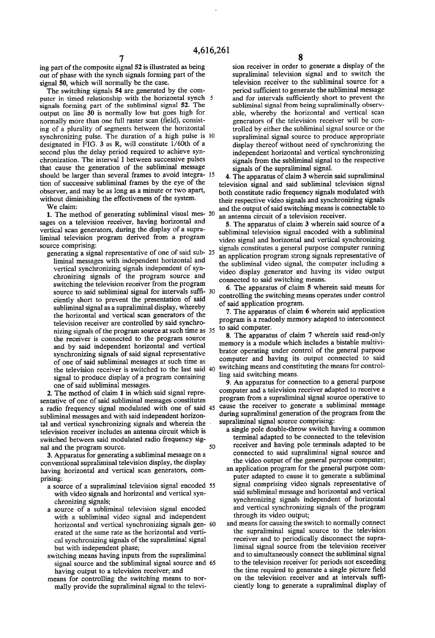ing part of the composite signal 52 is illustrated as being out of phase with the synch signals forming part of the signal 50, which will normally be the case.

The switching signals 54 are generated by the computer in timed relationship with the horizontal synch 5 signals forming part of the subliminal signal 52. The output on line 30 is normally low but goes high for normally more than one full raster scan (field), consist ing of a plurality of segments between the horizontal synchronizing pulse. The duration of a high pulse is 10 designated in FIG. 3 as R, will constitute 1/60th of a second plus the delay period required to achieve synchronization. The interval I between successive pulses chronization. The interval I between successive pulses that cause the generation of the subliminal message should be larger than several frames to avoid integra tion of successive subliminal frames by the eye of the observer, and may be as long as a minute or two apart, without diminishing the effectiveness of the system. 15

We claim:

1. The method of generating subliminal visual mes- 20 sages on a television receiver, having horizontal and vertical scan generators, during the display of a supra-<br>liminal television program derived from a program source comprising:

source comprising:<br>generating a signal representative of one of said sub- 25 liminal messages with independent horizontal and chronizing signals of the program source and switching the television receiver from the program source to said subliminal signal for intervals suffi- 30 ciently short to prevent the presentation of said subliminal signal as a supraliminal display, whereby the horizontal and vertical scan generators of the television receiver are controlled by said synchrotelevision receiver are controlled by said synchro-<br>nizing signals of the program source at such time as 35 the receiver is connected to the program source<br>and by said independent horizontal and vertical synchronizing signals of said signal representative of one of said subliminal messages at such time as the television receiver is switched to the last said 40 signal to produce display of a program containing<br>one of said subliminal messages.

2. The method of claim 1 in which said signal representative of one of said subliminal messages constitutes a radio frequency signal modulated with one of said 45 subliminal messages and with said independent horizon tal and vertical synchronizing signals and wherein the television receiver includes an antenna circuit which is switched between said modulated radio frequency signal and the program source. 50

3. Apparatus for generating a subliminal message on a having horizontal and vertical scan generators, comprising:

- a source of a supraliminal television signal encoded 55 with video signals and horizontal and vertical syn-<br>chronizing signals;
- a source of a subliminal television signal encoded with a subliminal video signal and independent<br>horizontal and vertical synchronizing signals gen-60 erated at the same rate as the horizontal and verti cal synchronizing signals of the supraliminal signal but with independent phase; switching means having inputs from the supraliminal
- signal source and the subliminal signal source and 65 having output to a television receiver; and
- means for controlling the switching means to nor mally provide the supraliminal signal to the televi

sion receiver in order to generate a display of the supraliminal television signal and to switch the television receiver to the subliminal source for a period sufficient to generate the subliminal message and for intervals sufficiently short to prevent the subliminal signal from being supraliminally observ able, whereby the horizontal and vertical scan generators of the television receiver will be con trolled by either the subliminal signal source or the display thereof without need of synchronizing the independent horizontal and vertical synchronizing signals from the subliminal signal to the respective signals of the supraliminal signal.

4. The apparatus of claim 3 wherein said supraliminal television signal and said subliminal television signal both constitute radio frequency signals modulated with their respective video signals and synchronizing signals and the output of said switching means is connectable to an antenna circuit of a television receiver.

5. The apparatus of claim 3 wherein said source of a subliminal television signal encoded with a subliminal video signal and horizontal and vertical synchronizing signals constitutes a general purpose computer running an application program strong signals representative of the subliminal video signal, the computer including a video display generator and having its video output connected to said switching means.

6. The apparatus of claim 5 wherein said means for controlling the switching means operates under control of said application program.

7. The apparatus of claim 6 wherein said application program is a readonly memory adapted to interconnect

8. The apparatus of claim 7 wherein said read-only memory is a module which includes a bistable multivi brator operating under control of the general purpose computer and having its output connected to said switching means and constituting the means for control ling said switching means.

9. An apparatus for connection to a general purpose computer and a television receiver adapted to receive a program from a supraliminal signal source operative to during supraliminal generation of the program from the supraliminal signal source comprising:

- a single pole double-throw switch having a common terminal adapted to be connected to the television receiver and having pole terminals adapted to be connected to said supraliminal signal source and the video output of the general purpose computer;
- an application program for the general purpose com puter adapted to cause it to generate a subliminal signal comprising video signals representative of said subliminal message and horizontal and vertical synchronizing signals independent of horizontal and vertical synchronizing signals of the program through its video output;<br>and means for causing the switch to normally connect
- the supraliminal signal source to the television receiver and to periodically disconnect the supraliminal signal source from the television receiver and to simultaneously connect the subliminal signal the time required to generate a single picture field on the television receiver and at intervals suffi ciently long to generate a supraliminal display of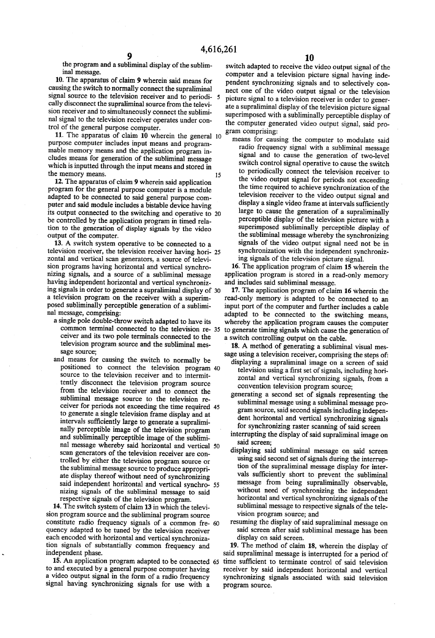the program and a subliminal display of the subliminal message.

10. The apparatus of claim 9 wherein said means for causing the switch to normally connect the supraliminal signal source to the television receiver and to periodi-<br>cally disconnect the supraliminal source from the television receiver and to simultaneously connect the sublimi nal signal to the television receiver operates under con trol of the general purpose computer.

11. The apparatus of claim 10 wherein the general 10 purpose computer includes input means and programmable memory means and the application program includes means for generation of the subliminal message which is inputted through the input means and stored in the memory means.

12. The apparatus of claim 9 wherein said application program for the general purpose computer is a module adapted to be connected to said general purpose computer and said module includes a bistable device having puter and said module includes a bistable device having its output connected to the switching and operative to 20 be controlled by the application program in timed rela tion to the generation of display signals by the video output of the computer.

13. A switch system operative to be connected to a television receiver, the television receiver having hori- 25 zontal and vertical scan generators, a source of televi nizing signals, and a source of a subliminal message having independent horizontal and vertical synchronizing signals in order to generate a supraliminal display of 30 posed subliminally perceptible generation of a subliminal message, comprising:

- a single pole double-throw switch adapted to have its common terminal connected to the television re- 35 ceiver and its two pole terminals connected to the television program source and the subliminal mes sage source:
- and means for causing the switch to normally be positioned to connect the television program 40 source to the television receiver and to intermit tently disconnect the television program source from the television receiver and to connect the subliminal message source to the television re ceiver for periods not exceeding the time required 45 to generate a single television frame display and at intervals sufficiently large to generate a supraliminally perceptible image of the television program and subliminally perceptible image of the subliminal message whereby said horizontal and vertical 50 scan generators of the television receiver are con trolled by either the television program source or the subliminal message source to produce appropriate display thereof without need of synchronizing ate display thereor without need of synchronizing<br>said independent horizontal and vertical synchro-<br>nizing signals of the subliminal message to said respective signals of the television program. ာ

14. The switch system of claim 13 in which the televi sion program source and the subliminal program source constitute radio frequency signals of a common fre 60 quency adapted to be tuned by the television receiver<br>each encoded with horizontal and vertical synchronization signals of substantially common frequency and independent phase.

15. An application program adapted to be connected 65 to and executed by a general purpose computer having signal having synchronizing signals for use with a

switch adapted to receive the video output signal of the computer and a television picture signal having inde pendent synchronizing signals and to selectively con nect one of the video output signal or the television picture signal to a television receiver in order to gener superimposed with a subliminally perceptible display of the computer generated video output signal, said pro gram comprising:

means for causing the computer to modulate said<br>radio frequency signal with a subliminal message signal and to cause the generation of two-level switch control signal operative to cause the switch to periodically connect the television receiver to<br>the video output signal for periods not exceeding the time required to achieve synchronization of the television receiver to the video output signal and<br>display a single video frame at intervals sufficiently large to cause the generation of a supraliminally perceptible display of the television picture with a superimposed subliminally perceptible display of the subliminal message whereby the synchronizing signals of the video output signal need not be in synchronization with the independent synchronizing signals of the television picture signal.

16. The application program of claim 15 wherein the application program is stored in a read-only memory and includes said subliminal message.

17. The application program of claim 16 wherein the read-only memory is adapted to be connected to an input port of the computer and further includes a cable<br>adapted to be connected to the switching means, whereby the application program causes the computer to generate timing signals which cause the generation of a switch controlling output on the cable.

18. A method of generating a subliminal visual mes sage using a television receiver, comprising the steps of:

- displaying a supraliminal image on a screen of said television using a first set of signals, including hori zontal and vertical synchronizing signals, from a convention television program source;
- generating a second set of signals representing the subliminal message using a subliminal message program source, said second signals including independent horizontal and vertical synchronizing signals for synchronizing raster scanning of said screen
- interrupting the display of said supraliminal image on said screen;
- displaying said subliminal message on said screen using said second set of signals during the interruption of the supraliminal message display for intervals sufficiently short to prevent the subliminal message from being supraliminally observable, without need of synchronizing the independent horizontal and vertical synchronizing signals of the subliminal message to respective signals of the tele vision program source; and
- resuming the display of said supraliminal message on said screen after said subliminal message has been

display on said screen.<br>19. The method of claim 18, wherein the display of said supraliminal message is interrupted for a period of time sufficient to terminate control of said television receiver by said independent horizontal and vertical synchronizing signals associated with said television program source.

15